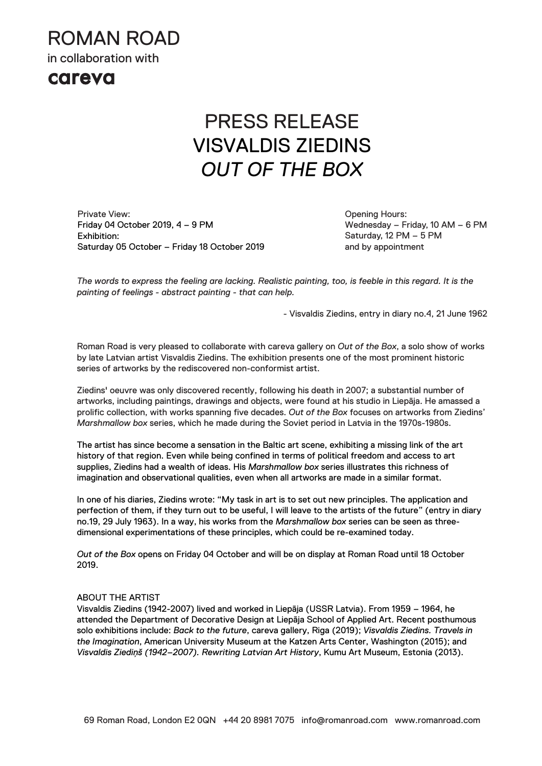ROMAN ROAD

in collaboration with

### careva

# PRESS RELEASE VISVALDIS ZIEDINS *OUT OF THE BOX*

Private View: Friday 04 October 2019, 4 – 9 PM Exhibition: Saturday 05 October – Friday 18 October 2019 Opening Hours: Wednesday – Friday, 10 AM – 6 PM Saturday, 12 PM – 5 PM and by appointment

*The words to express the feeling are lacking. Realistic painting, too, is feeble in this regard. It is the painting of feelings - abstract painting - that can help.*

- Visvaldis Ziedins, entry in diary no.4, 21 June 1962

Roman Road is very pleased to collaborate with careva gallery on *Out of the Box*, a solo show of works by late Latvian artist Visvaldis Ziedins. The exhibition presents one of the most prominent historic series of artworks by the rediscovered non-conformist artist.

Ziedins' oeuvre was only discovered recently, following his death in 2007; a substantial number of artworks, including paintings, drawings and objects, were found at his studio in Liepāja. He amassed a prolific collection, with works spanning five decades. *Out of the Box* focuses on artworks from Ziedins' *Marshmallow box* series, which he made during the Soviet period in Latvia in the 1970s-1980s.

The artist has since become a sensation in the Baltic art scene, exhibiting a missing link of the art history of that region. Even while being confined in terms of political freedom and access to art supplies, Ziedins had a wealth of ideas. His *Marshmallow box* series illustrates this richness of imagination and observational qualities, even when all artworks are made in a similar format.

In one of his diaries, Ziedins wrote: "My task in art is to set out new principles. The application and perfection of them, if they turn out to be useful, I will leave to the artists of the future" (entry in diary no.19, 29 July 1963). In a way, his works from the *Marshmallow box* series can be seen as threedimensional experimentations of these principles, which could be re-examined today.

*Out of the Box* opens on Friday 04 October and will be on display at Roman Road until 18 October 2019.

#### ABOUT THE ARTIST

Visvaldis Ziedins (1942-2007) lived and worked in Liepāja (USSR Latvia). From 1959 – 1964, he attended the Department of Decorative Design at Liepāja School of Applied Art. Recent posthumous solo exhibitions include: *Back to the future*, careva gallery, Riga (2019); *Visvaldis Ziedins. Travels in the Imagination*, American University Museum at the Katzen Arts Center, Washington (2015); and *Visvaldis Ziediņš (1942–2007). Rewriting Latvian Art History*, Kumu Art Museum, Estonia (2013).